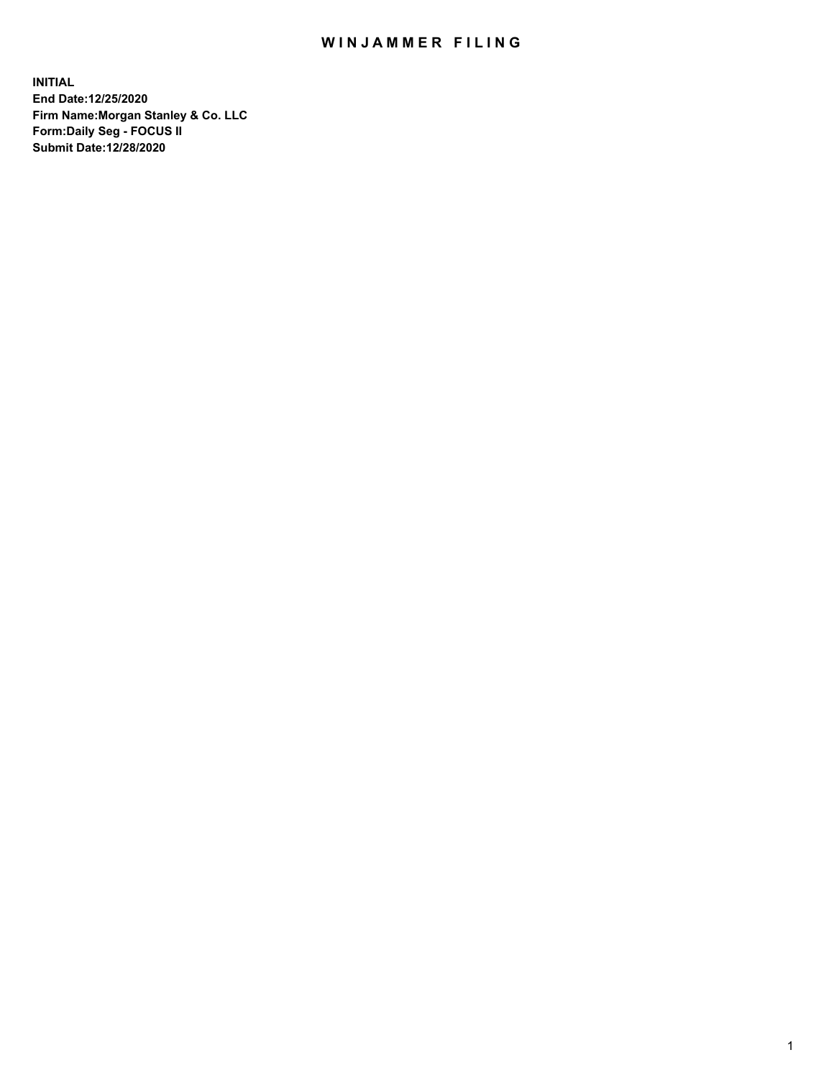## WIN JAMMER FILING

**INITIAL End Date:12/25/2020 Firm Name:Morgan Stanley & Co. LLC Form:Daily Seg - FOCUS II Submit Date:12/28/2020**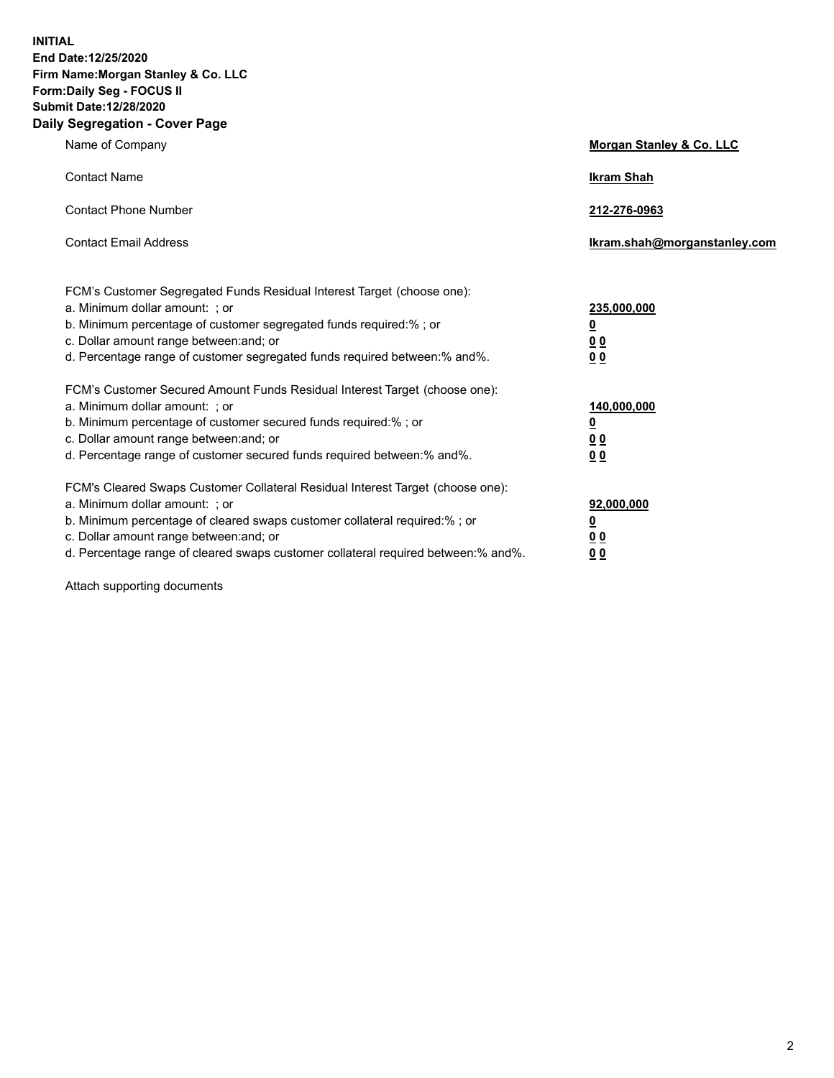**INITIAL End Date:12/25/2020 Firm Name:Morgan Stanley & Co. LLC Form:Daily Seg - FOCUS II Submit Date:12/28/2020 Daily Segregation - Cover Page**

| Name of Company                                                                                                                                                                                                                                                                                                                | Morgan Stanley & Co. LLC                                    |
|--------------------------------------------------------------------------------------------------------------------------------------------------------------------------------------------------------------------------------------------------------------------------------------------------------------------------------|-------------------------------------------------------------|
| <b>Contact Name</b>                                                                                                                                                                                                                                                                                                            | <b>Ikram Shah</b>                                           |
| <b>Contact Phone Number</b>                                                                                                                                                                                                                                                                                                    | 212-276-0963                                                |
| <b>Contact Email Address</b>                                                                                                                                                                                                                                                                                                   | Ikram.shah@morganstanley.com                                |
| FCM's Customer Segregated Funds Residual Interest Target (choose one):<br>a. Minimum dollar amount: ; or<br>b. Minimum percentage of customer segregated funds required:% ; or<br>c. Dollar amount range between: and; or<br>d. Percentage range of customer segregated funds required between:% and%.                         | 235,000,000<br><u>0</u><br><u>00</u><br>0 <sub>0</sub>      |
| FCM's Customer Secured Amount Funds Residual Interest Target (choose one):<br>a. Minimum dollar amount: ; or<br>b. Minimum percentage of customer secured funds required:% ; or<br>c. Dollar amount range between: and; or<br>d. Percentage range of customer secured funds required between:% and%.                           | 140,000,000<br><u>0</u><br>0 <sub>0</sub><br>0 <sub>0</sub> |
| FCM's Cleared Swaps Customer Collateral Residual Interest Target (choose one):<br>a. Minimum dollar amount: ; or<br>b. Minimum percentage of cleared swaps customer collateral required:% ; or<br>c. Dollar amount range between: and; or<br>d. Percentage range of cleared swaps customer collateral required between:% and%. | 92,000,000<br><u>0</u><br><u>00</u><br>00                   |

Attach supporting documents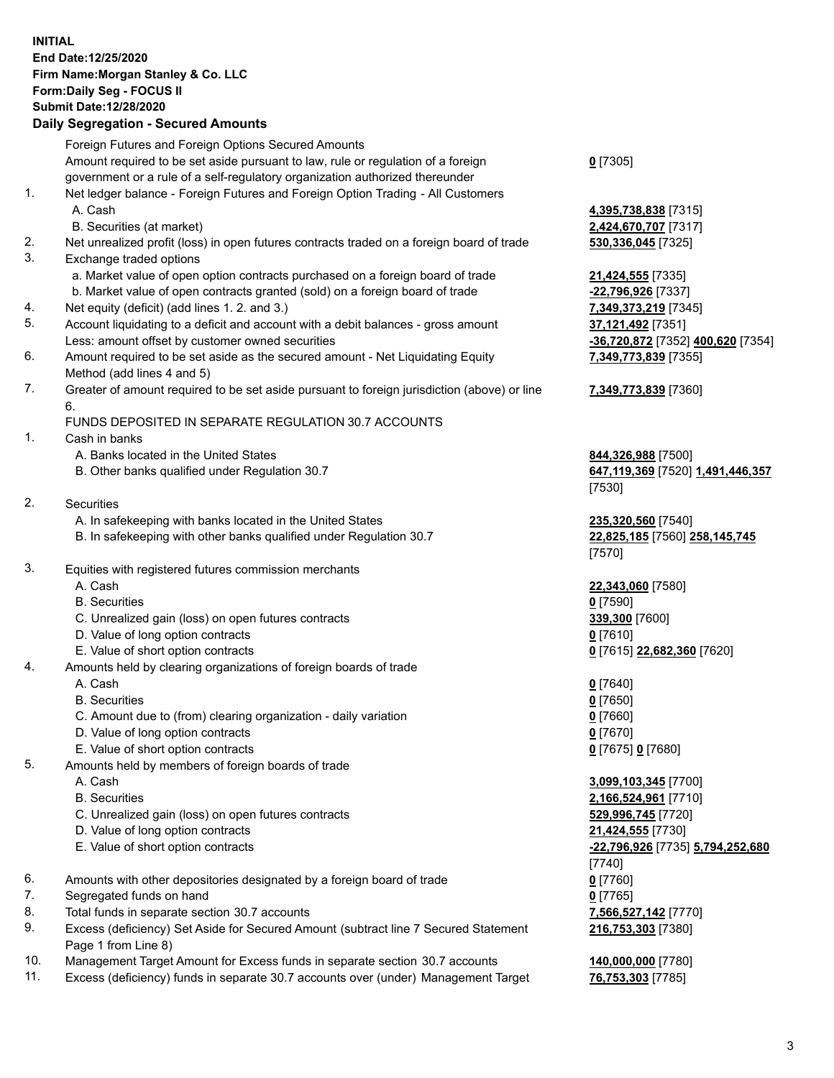## **INITIAL End Date:12/25/2020 Firm Name:Morgan Stanley & Co. LLC Form:Daily Seg - FOCUS II Submit Date:12/28/2020**

## **Daily Segregation - Secured Amounts**

Foreign Futures and Foreign Options Secured Amounts Amount required to be set aside pursuant to law, rule or regulation of a foreign government or a rule of a self-regulatory organization authorized thereunder 1. Net ledger balance - Foreign Futures and Foreign Option Trading - All Customers A. Cash **4,395,738,838** [7315] B. Securities (at market) **2,424,670,707** [7317] 2. Net unrealized profit (loss) in open futures contracts traded on a foreign board of trade **530,336,045** [7325] 3. Exchange traded options a. Market value of open option contracts purchased on a foreign board of trade **21,424,555** [7335] b. Market value of open contracts granted (sold) on a foreign board of trade **-22,796,926** [7337] 4. Net equity (deficit) (add lines 1. 2. and 3.) **7,349,373,219** [7345] 5. Account liquidating to a deficit and account with a debit balances - gross amount **37,121,492** [7351] Less: amount offset by customer owned securities **-36,720,872** [7352] **400,620** [7354] 6. Amount required to be set aside as the secured amount - Net Liquidating Equity Method (add lines 4 and 5) 7. Greater of amount required to be set aside pursuant to foreign jurisdiction (above) or line 6. FUNDS DEPOSITED IN SEPARATE REGULATION 30.7 ACCOUNTS 1. Cash in banks A. Banks located in the United States **844,326,988** [7500] B. Other banks qualified under Regulation 30.7 **647,119,369** [7520] **1,491,446,357** 2. Securities A. In safekeeping with banks located in the United States **235,320,560** [7540] B. In safekeeping with other banks qualified under Regulation 30.7 **22,825,185** [7560] **258,145,745** 3. Equities with registered futures commission merchants A. Cash **22,343,060** [7580] B. Securities **0** [7590] C. Unrealized gain (loss) on open futures contracts **339,300** [7600] D. Value of long option contracts **0** [7610] E. Value of short option contracts **0** [7615] **22,682,360** [7620] 4. Amounts held by clearing organizations of foreign boards of trade A. Cash **0** [7640] B. Securities **0** [7650] C. Amount due to (from) clearing organization - daily variation **0** [7660] D. Value of long option contracts **0** [7670] E. Value of short option contracts **0** [7675] **0** [7680] 5. Amounts held by members of foreign boards of trade A. Cash **3,099,103,345** [7700] B. Securities **2,166,524,961** [7710] C. Unrealized gain (loss) on open futures contracts **529,996,745** [7720] D. Value of long option contracts **21,424,555** [7730] E. Value of short option contracts **-22,796,926** [7735] **5,794,252,680** 6. Amounts with other depositories designated by a foreign board of trade **0** [7760] 7. Segregated funds on hand **0** [7765] 8. Total funds in separate section 30.7 accounts **7,566,527,142** [7770] 9. Excess (deficiency) Set Aside for Secured Amount (subtract line 7 Secured Statement Page 1 from Line 8)

- 10. Management Target Amount for Excess funds in separate section 30.7 accounts **140,000,000** [7780]
- 11. Excess (deficiency) funds in separate 30.7 accounts over (under) Management Target **76,753,303** [7785]

**0** [7305]

**7,349,773,839** [7355]

## **7,349,773,839** [7360]

[7530]

[7570]

[7740] **216,753,303** [7380]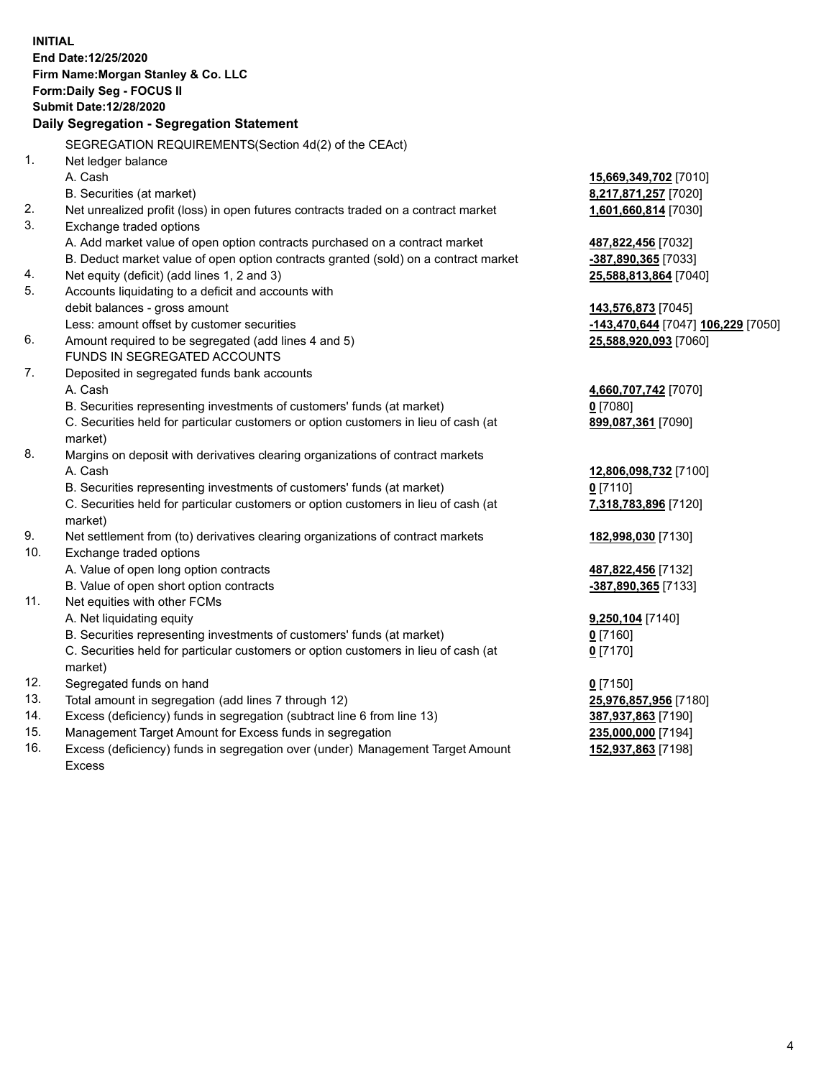|     | <b>INITIAL</b>                                                                      |                                    |
|-----|-------------------------------------------------------------------------------------|------------------------------------|
|     | End Date: 12/25/2020                                                                |                                    |
|     | Firm Name: Morgan Stanley & Co. LLC                                                 |                                    |
|     | Form: Daily Seg - FOCUS II                                                          |                                    |
|     | <b>Submit Date:12/28/2020</b>                                                       |                                    |
|     | Daily Segregation - Segregation Statement                                           |                                    |
|     | SEGREGATION REQUIREMENTS(Section 4d(2) of the CEAct)                                |                                    |
| 1.  | Net ledger balance                                                                  |                                    |
|     | A. Cash                                                                             | 15,669,349,702 [7010]              |
|     | B. Securities (at market)                                                           | 8,217,871,257 [7020]               |
| 2.  | Net unrealized profit (loss) in open futures contracts traded on a contract market  | 1,601,660,814 [7030]               |
| 3.  | Exchange traded options                                                             |                                    |
|     | A. Add market value of open option contracts purchased on a contract market         | 487,822,456 [7032]                 |
|     | B. Deduct market value of open option contracts granted (sold) on a contract market | -387,890,365 [7033]                |
| 4.  | Net equity (deficit) (add lines 1, 2 and 3)                                         | 25,588,813,864 [7040]              |
| 5.  | Accounts liquidating to a deficit and accounts with                                 |                                    |
|     | debit balances - gross amount                                                       | 143,576,873 [7045]                 |
|     | Less: amount offset by customer securities                                          | -143,470,644 [7047] 106,229 [7050] |
| 6.  | Amount required to be segregated (add lines 4 and 5)                                | 25,588,920,093 [7060]              |
|     | FUNDS IN SEGREGATED ACCOUNTS                                                        |                                    |
| 7.  | Deposited in segregated funds bank accounts                                         |                                    |
|     | A. Cash                                                                             | 4,660,707,742 [7070]               |
|     | B. Securities representing investments of customers' funds (at market)              | $0$ [7080]                         |
|     | C. Securities held for particular customers or option customers in lieu of cash (at | 899,087,361 [7090]                 |
|     | market)                                                                             |                                    |
| 8.  | Margins on deposit with derivatives clearing organizations of contract markets      |                                    |
|     | A. Cash                                                                             | 12,806,098,732 [7100]              |
|     | B. Securities representing investments of customers' funds (at market)              | $0$ [7110]                         |
|     | C. Securities held for particular customers or option customers in lieu of cash (at | 7,318,783,896 [7120]               |
|     | market)                                                                             |                                    |
| 9.  | Net settlement from (to) derivatives clearing organizations of contract markets     | 182,998,030 [7130]                 |
| 10. | Exchange traded options                                                             |                                    |
|     | A. Value of open long option contracts                                              | 487,822,456 [7132]                 |
|     | B. Value of open short option contracts                                             | -387,890,365 [7133]                |
| 11. | Net equities with other FCMs                                                        |                                    |
|     | A. Net liquidating equity                                                           | 9,250,104 [7140]                   |
|     | B. Securities representing investments of customers' funds (at market)              | $0$ [7160]                         |
|     | C. Securities held for particular customers or option customers in lieu of cash (at | $0$ [7170]                         |
|     | market)                                                                             |                                    |
| 12. | Segregated funds on hand                                                            | $0$ [7150]                         |
| 13. | Total amount in segregation (add lines 7 through 12)                                | 25,976,857,956 [7180]              |
| 14. | Excess (deficiency) funds in segregation (subtract line 6 from line 13)             | 387,937,863 [7190]                 |
| 15. | Management Target Amount for Excess funds in segregation                            | 235,000,000 [7194]                 |
| 16. | Excess (deficiency) funds in segregation over (under) Management Target Amount      | 152,937,863 [7198]                 |

16. Excess (deficiency) funds in segregation over (under) Management Target Amount Excess